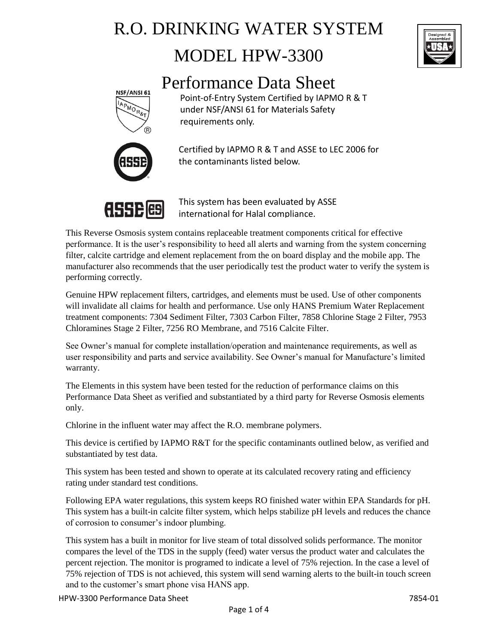# R.O. DRINKING WATER SYSTEM MODEL HPW-3300



## Performance Data Sheet



Point-of-Entry System Certified by IAPMO R & T under NSF/ANSI 61 for Materials Safety requirements only.



Certified by IAPMO R & T and ASSE to LEC 2006 for the contaminants listed below.



This system has been evaluated by ASSE international for Halal compliance.

This Reverse Osmosis system contains replaceable treatment components critical for effective performance. It is the user's responsibility to heed all alerts and warning from the system concerning filter, calcite cartridge and element replacement from the on board display and the mobile app. The manufacturer also recommends that the user periodically test the product water to verify the system is performing correctly.

Genuine HPW replacement filters, cartridges, and elements must be used. Use of other components will invalidate all claims for health and performance. Use only HANS Premium Water Replacement treatment components: 7304 Sediment Filter, 7303 Carbon Filter, 7858 Chlorine Stage 2 Filter, 7953 Chloramines Stage 2 Filter, 7256 RO Membrane, and 7516 Calcite Filter.

See Owner's manual for complete installation/operation and maintenance requirements, as well as user responsibility and parts and service availability. See Owner's manual for Manufacture's limited warranty.

The Elements in this system have been tested for the reduction of performance claims on this Performance Data Sheet as verified and substantiated by a third party for Reverse Osmosis elements only.

Chlorine in the influent water may affect the R.O. membrane polymers.

This device is certified by IAPMO R&T for the specific contaminants outlined below, as verified and substantiated by test data.

This system has been tested and shown to operate at its calculated recovery rating and efficiency rating under standard test conditions.

Following EPA water regulations, this system keeps RO finished water within EPA Standards for pH. This system has a built-in calcite filter system, which helps stabilize pH levels and reduces the chance of corrosion to consumer's indoor plumbing.

This system has a built in monitor for live steam of total dissolved solids performance. The monitor compares the level of the TDS in the supply (feed) water versus the product water and calculates the percent rejection. The monitor is programed to indicate a level of 75% rejection. In the case a level of 75% rejection of TDS is not achieved, this system will send warning alerts to the built-in touch screen and to the customer's smart phone visa HANS app.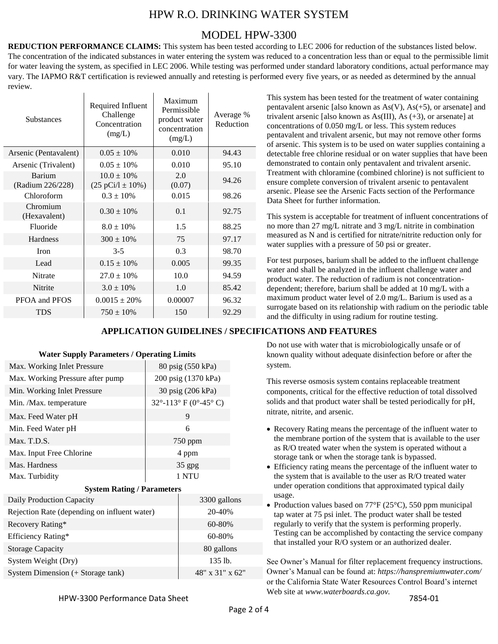## HPW R.O. DRINKING WATER SYSTEM

### MODEL HPW-3300

**REDUCTION PERFORMANCE CLAIMS:** This system has been tested according to LEC 2006 for reduction of the substances listed below. The concentration of the indicated substances in water entering the system was reduced to a concentration less than or equal to the permissible limit for water leaving the system, as specified in LEC 2006. While testing was performed under standard laboratory conditions, actual performance may vary. The IAPMO R&T certification is reviewed annually and retesting is performed every five years, or as needed as determined by the annual review.

| <b>Substances</b>                 | Required Influent<br>Challenge<br>Concentration<br>(mg/L) | Maximum<br>Permissible<br>product water<br>concentration<br>(mg/L) | Average %<br>Reduction |
|-----------------------------------|-----------------------------------------------------------|--------------------------------------------------------------------|------------------------|
| Arsenic (Pentavalent)             | $0.05 \pm 10\%$                                           | 0.010                                                              | 94.43                  |
| Arsenic (Trivalent)               | $0.05 \pm 10\%$                                           | 0.010                                                              | 95.10                  |
| <b>Barium</b><br>(Radium 226/228) | $10.0 \pm 10\%$<br>$(25 \text{ pCi}/1 \pm 10\%)$          | 2.0<br>(0.07)                                                      | 94.26                  |
| Chloroform                        | $0.3 \pm 10\%$                                            | 0.015                                                              | 98.26                  |
| Chromium<br>(Hexavalent)          | $0.30 \pm 10\%$                                           | 0.1                                                                | 92.75                  |
| Fluoride                          | $8.0 + 10\%$                                              | 1.5                                                                | 88.25                  |
| <b>Hardness</b>                   | $300 \pm 10\%$                                            | 75                                                                 | 97.17                  |
| <b>Iron</b>                       | $3 - 5$                                                   | 0.3                                                                | 98.70                  |
| Lead                              | $0.15 \pm 10\%$                                           | 0.005                                                              | 99.35                  |
| Nitrate                           | $27.0 \pm 10\%$                                           | 10.0                                                               | 94.59                  |
| Nitrite                           | $3.0 \pm 10\%$                                            | 1.0                                                                | 85.42                  |
| PFOA and PFOS                     | $0.0015 \pm 20\%$                                         | 0.00007                                                            | 96.32                  |
| TDS                               | $750 \pm 10\%$                                            | 150                                                                | 92.29                  |

### **APPLICATION GUIDELINES / SPECIFICATIONS AND FEATURES**

### **Water Supply Parameters / Operating Limits**

| Max. Working Inlet Pressure      | 80 psig (550 kPa)     |
|----------------------------------|-----------------------|
| Max. Working Pressure after pump | 200 psig (1370 kPa)   |
| Min. Working Inlet Pressure      | 30 psig (206 kPa)     |
| Min. /Max. temperature           | 32°-113° F (0°-45° C) |
| Max. Feed Water pH               | 9                     |
| Min. Feed Water pH               | 6                     |
| Max. T.D.S.                      | 750 ppm               |
| Max. Input Free Chlorine         | 4 ppm                 |
| Mas. Hardness                    | $35$ gpg              |
| Max. Turbidity                   | 1 NTU                 |

### **System Rating / Parameters**

| Daily Production Capacity                    | 3300 gallons    |
|----------------------------------------------|-----------------|
| Rejection Rate (depending on influent water) | 20-40%          |
| Recovery Rating*                             | 60-80%          |
| Efficiency Rating*                           | $60 - 80%$      |
| <b>Storage Capacity</b>                      | 80 gallons      |
| System Weight (Dry)                          | $135$ lb.       |
| System Dimension (+ Storage tank)            | 48" x 31" x 62" |

This system has been tested for the treatment of water containing pentavalent arsenic [also known as  $As(V)$ ,  $As(+5)$ , or arsenate] and trivalent arsenic [also known as  $As(III)$ , As  $(+3)$ , or arsenate] at concentrations of 0.050 mg/L or less. This system reduces pentavalent and trivalent arsenic, but may not remove other forms of arsenic. This system is to be used on water supplies containing a detectable free chlorine residual or on water supplies that have been demonstrated to contain only pentavalent and trivalent arsenic. Treatment with chloramine (combined chlorine) is not sufficient to ensure complete conversion of trivalent arsenic to pentavalent arsenic. Please see the Arsenic Facts section of the Performance Data Sheet for further information.

This system is acceptable for treatment of influent concentrations of no more than 27 mg/L nitrate and 3 mg/L nitrite in combination measured as N and is certified for nitrate/nitrite reduction only for water supplies with a pressure of 50 psi or greater.

For test purposes, barium shall be added to the influent challenge water and shall be analyzed in the influent challenge water and product water. The reduction of radium is not concentrationdependent; therefore, barium shall be added at 10 mg/L with a maximum product water level of 2.0 mg/L. Barium is used as a surrogate based on its relationship with radium on the periodic table and the difficulty in using radium for routine testing.

Do not use with water that is microbiologically unsafe or of known quality without adequate disinfection before or after the

> system. This reverse osmosis system contains replaceable treatment

components, critical for the effective reduction of total dissolved solids and that product water shall be tested periodically for pH, nitrate, nitrite, and arsenic.

- Recovery Rating means the percentage of the influent water to the membrane portion of the system that is available to the user as R/O treated water when the system is operated without a storage tank or when the storage tank is bypassed.
- Efficiency rating means the percentage of the influent water to the system that is available to the user as R/O treated water under operation conditions that approximated typical daily usage.
- Production values based on  $77^{\circ}F(25^{\circ}C)$ , 550 ppm municipal tap water at 75 psi inlet. The product water shall be tested regularly to verify that the system is performing properly. Testing can be accomplished by contacting the service company that installed your R/O system or an authorized dealer.

See Owner's Manual for filter replacement frequency instructions. Owner's Manual can be found at: *<https://hanspremiumwater.com/>* or the California State Water Resources Control Board's internet Web site at *www.waterboards.ca.gov.*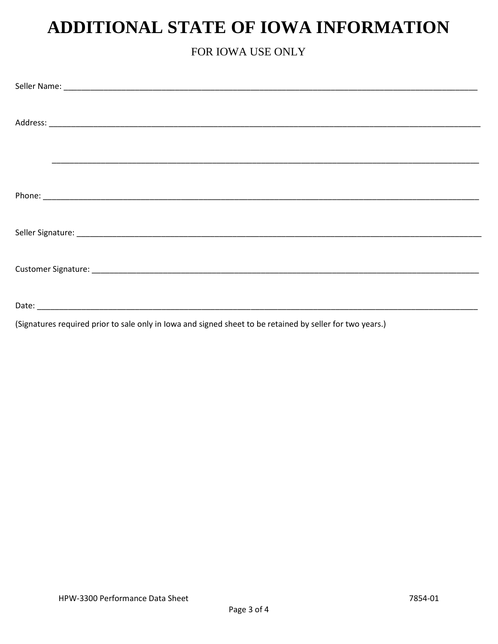## **ADDITIONAL STATE OF IOWA INFORMATION**

## FOR IOWA USE ONLY

(Signatures required prior to sale only in lowa and signed sheet to be retained by seller for two years.)